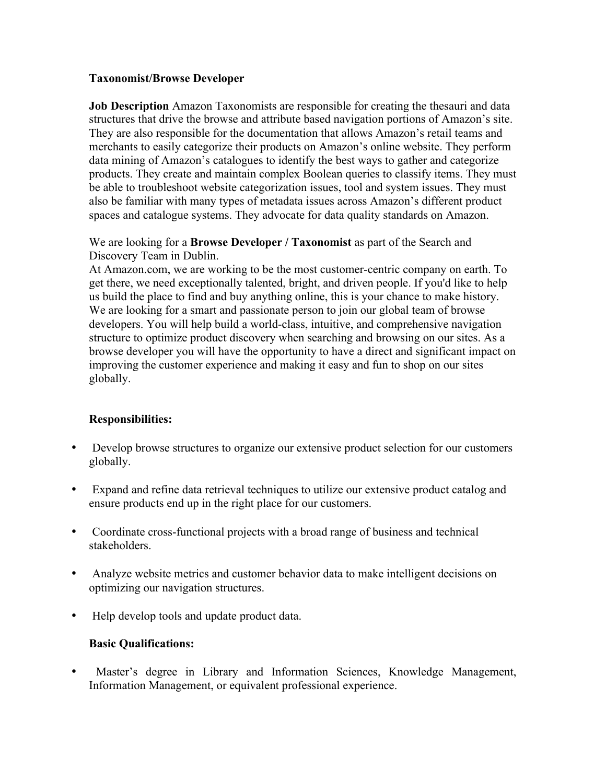## **Taxonomist/Browse Developer**

**Job Description** Amazon Taxonomists are responsible for creating the thesauri and data structures that drive the browse and attribute based navigation portions of Amazon's site. They are also responsible for the documentation that allows Amazon's retail teams and merchants to easily categorize their products on Amazon's online website. They perform data mining of Amazon's catalogues to identify the best ways to gather and categorize products. They create and maintain complex Boolean queries to classify items. They must be able to troubleshoot website categorization issues, tool and system issues. They must also be familiar with many types of metadata issues across Amazon's different product spaces and catalogue systems. They advocate for data quality standards on Amazon.

We are looking for a **Browse Developer / Taxonomist** as part of the Search and Discovery Team in Dublin.

At Amazon.com, we are working to be the most customer-centric company on earth. To get there, we need exceptionally talented, bright, and driven people. If you'd like to help us build the place to find and buy anything online, this is your chance to make history. We are looking for a smart and passionate person to join our global team of browse developers. You will help build a world-class, intuitive, and comprehensive navigation structure to optimize product discovery when searching and browsing on our sites. As a browse developer you will have the opportunity to have a direct and significant impact on improving the customer experience and making it easy and fun to shop on our sites globally.

# **Responsibilities:**

- Develop browse structures to organize our extensive product selection for our customers globally.
- Expand and refine data retrieval techniques to utilize our extensive product catalog and ensure products end up in the right place for our customers.
- Coordinate cross-functional projects with a broad range of business and technical stakeholders.
- Analyze website metrics and customer behavior data to make intelligent decisions on optimizing our navigation structures.
- Help develop tools and update product data.

# **Basic Qualifications:**

Master's degree in Library and Information Sciences, Knowledge Management, Information Management, or equivalent professional experience.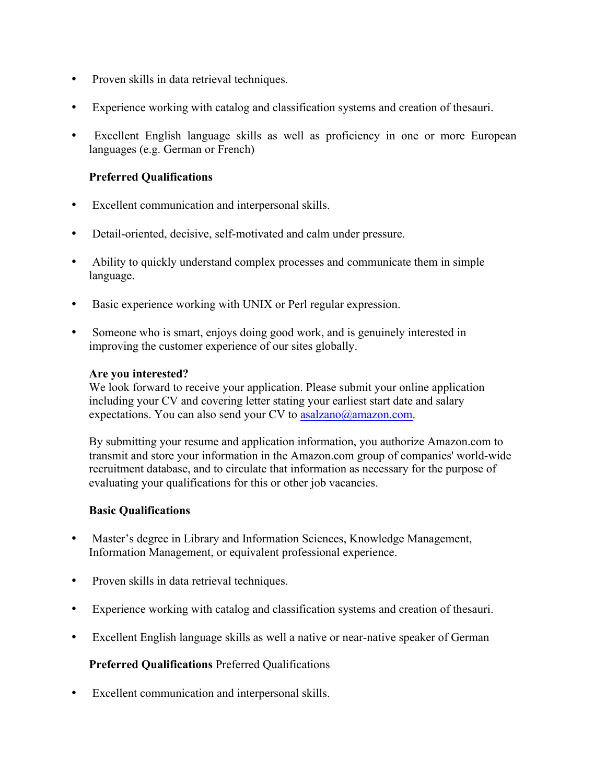- Proven skills in data retrieval techniques.
- Experience working with catalog and classification systems and creation of thesauri.
- Excellent English language skills as well as proficiency in one or more European languages (e.g. German or French)

# **Preferred Qualifications**

- Excellent communication and interpersonal skills.
- Detail-oriented, decisive, self-motivated and calm under pressure.
- Ability to quickly understand complex processes and communicate them in simple language.
- Basic experience working with UNIX or Perl regular expression.
- Someone who is smart, enjoys doing good work, and is genuinely interested in improving the customer experience of our sites globally.

## **Are you interested?**

We look forward to receive your application. Please submit your online application including your CV and covering letter stating your earliest start date and salary expectations. You can also send your CV to  $asalzano@amazon.com$ .

By submitting your resume and application information, you authorize Amazon.com to transmit and store your information in the Amazon.com group of companies' world-wide recruitment database, and to circulate that information as necessary for the purpose of evaluating your qualifications for this or other job vacancies.

#### **Basic Qualifications**

- Master's degree in Library and Information Sciences, Knowledge Management, Information Management, or equivalent professional experience.
- Proven skills in data retrieval techniques.
- Experience working with catalog and classification systems and creation of thesauri.
- Excellent English language skills as well a native or near-native speaker of German

# **Preferred Qualifications** Preferred Qualifications

• Excellent communication and interpersonal skills.